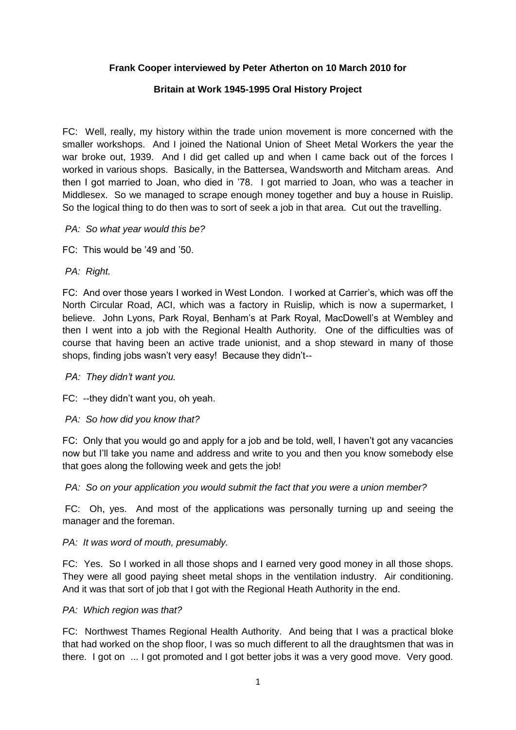### **Frank Cooper interviewed by Peter Atherton on 10 March 2010 for**

### **Britain at Work 1945-1995 Oral History Project**

FC: Well, really, my history within the trade union movement is more concerned with the smaller workshops. And I joined the National Union of Sheet Metal Workers the year the war broke out, 1939. And I did get called up and when I came back out of the forces I worked in various shops. Basically, in the Battersea, Wandsworth and Mitcham areas. And then I got married to Joan, who died in '78. I got married to Joan, who was a teacher in Middlesex. So we managed to scrape enough money together and buy a house in Ruislip. So the logical thing to do then was to sort of seek a job in that area. Cut out the travelling.

- *PA: So what year would this be?*
- FC: This would be '49 and '50.
- *PA: Right.*

FC: And over those years I worked in West London. I worked at Carrier's, which was off the North Circular Road, ACI, which was a factory in Ruislip, which is now a supermarket, I believe. John Lyons, Park Royal, Benham's at Park Royal, MacDowell's at Wembley and then I went into a job with the Regional Health Authority. One of the difficulties was of course that having been an active trade unionist, and a shop steward in many of those shops, finding jobs wasn't very easy! Because they didn't--

*PA: They didn't want you.*

FC: --they didn't want you, oh yeah.

*PA: So how did you know that?*

FC: Only that you would go and apply for a job and be told, well, I haven't got any vacancies now but I'll take you name and address and write to you and then you know somebody else that goes along the following week and gets the job!

*PA: So on your application you would submit the fact that you were a union member?*

FC: Oh, yes. And most of the applications was personally turning up and seeing the manager and the foreman.

### *PA: It was word of mouth, presumably.*

FC: Yes. So I worked in all those shops and I earned very good money in all those shops. They were all good paying sheet metal shops in the ventilation industry. Air conditioning. And it was that sort of job that I got with the Regional Heath Authority in the end.

#### *PA: Which region was that?*

FC: Northwest Thames Regional Health Authority. And being that I was a practical bloke that had worked on the shop floor, I was so much different to all the draughtsmen that was in there. I got on ... I got promoted and I got better jobs it was a very good move. Very good.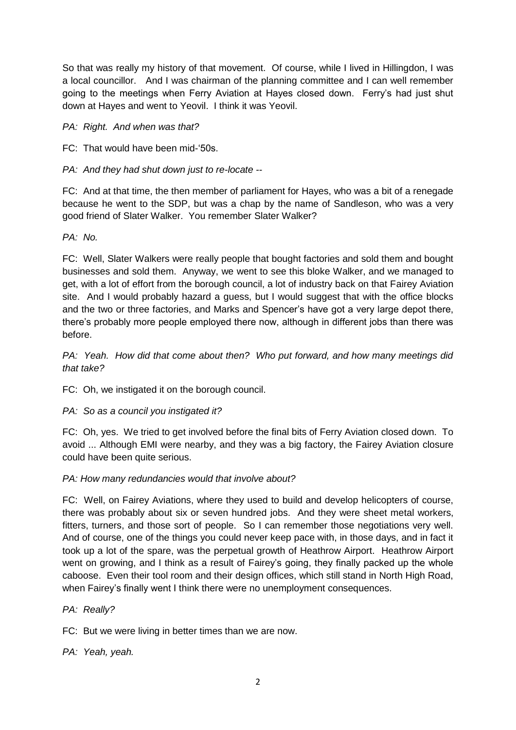So that was really my history of that movement. Of course, while I lived in Hillingdon, I was a local councillor. And I was chairman of the planning committee and I can well remember going to the meetings when Ferry Aviation at Hayes closed down. Ferry's had just shut down at Hayes and went to Yeovil. I think it was Yeovil.

*PA: Right. And when was that?*

FC: That would have been mid-'50s.

*PA: And they had shut down just to re-locate --*

FC: And at that time, the then member of parliament for Hayes, who was a bit of a renegade because he went to the SDP, but was a chap by the name of Sandleson, who was a very good friend of Slater Walker. You remember Slater Walker?

*PA: No.*

FC: Well, Slater Walkers were really people that bought factories and sold them and bought businesses and sold them. Anyway, we went to see this bloke Walker, and we managed to get, with a lot of effort from the borough council, a lot of industry back on that Fairey Aviation site. And I would probably hazard a guess, but I would suggest that with the office blocks and the two or three factories, and Marks and Spencer's have got a very large depot there, there's probably more people employed there now, although in different jobs than there was before.

*PA: Yeah. How did that come about then? Who put forward, and how many meetings did that take?*

FC: Oh, we instigated it on the borough council.

*PA: So as a council you instigated it?*

FC: Oh, yes. We tried to get involved before the final bits of Ferry Aviation closed down. To avoid ... Although EMI were nearby, and they was a big factory, the Fairey Aviation closure could have been quite serious.

## *PA: How many redundancies would that involve about?*

FC: Well, on Fairey Aviations, where they used to build and develop helicopters of course, there was probably about six or seven hundred jobs. And they were sheet metal workers, fitters, turners, and those sort of people. So I can remember those negotiations very well. And of course, one of the things you could never keep pace with, in those days, and in fact it took up a lot of the spare, was the perpetual growth of Heathrow Airport. Heathrow Airport went on growing, and I think as a result of Fairey's going, they finally packed up the whole caboose. Even their tool room and their design offices, which still stand in North High Road, when Fairey's finally went I think there were no unemployment consequences.

### *PA: Really?*

FC: But we were living in better times than we are now.

*PA: Yeah, yeah.*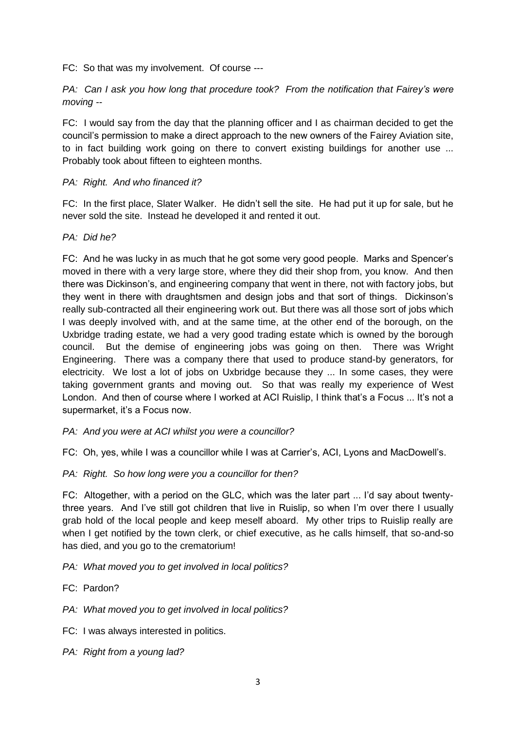FC: So that was my involvement. Of course ---

*PA: Can I ask you how long that procedure took? From the notification that Fairey's were moving --*

FC: I would say from the day that the planning officer and I as chairman decided to get the council's permission to make a direct approach to the new owners of the Fairey Aviation site, to in fact building work going on there to convert existing buildings for another use ... Probably took about fifteen to eighteen months.

### *PA: Right. And who financed it?*

FC: In the first place, Slater Walker. He didn't sell the site. He had put it up for sale, but he never sold the site. Instead he developed it and rented it out.

### *PA: Did he?*

FC: And he was lucky in as much that he got some very good people. Marks and Spencer's moved in there with a very large store, where they did their shop from, you know. And then there was Dickinson's, and engineering company that went in there, not with factory jobs, but they went in there with draughtsmen and design jobs and that sort of things. Dickinson's really sub-contracted all their engineering work out. But there was all those sort of jobs which I was deeply involved with, and at the same time, at the other end of the borough, on the Uxbridge trading estate, we had a very good trading estate which is owned by the borough council. But the demise of engineering jobs was going on then. There was Wright Engineering. There was a company there that used to produce stand-by generators, for electricity. We lost a lot of jobs on Uxbridge because they ... In some cases, they were taking government grants and moving out. So that was really my experience of West London. And then of course where I worked at ACI Ruislip, I think that's a Focus ... It's not a supermarket, it's a Focus now.

- *PA: And you were at ACI whilst you were a councillor?*
- FC: Oh, yes, while I was a councillor while I was at Carrier's, ACI, Lyons and MacDowell's.

## *PA: Right. So how long were you a councillor for then?*

FC: Altogether, with a period on the GLC, which was the later part ... I'd say about twentythree years. And I've still got children that live in Ruislip, so when I'm over there I usually grab hold of the local people and keep meself aboard. My other trips to Ruislip really are when I get notified by the town clerk, or chief executive, as he calls himself, that so-and-so has died, and you go to the crematorium!

### *PA: What moved you to get involved in local politics?*

- FC: Pardon?
- *PA: What moved you to get involved in local politics?*
- FC: I was always interested in politics.
- *PA: Right from a young lad?*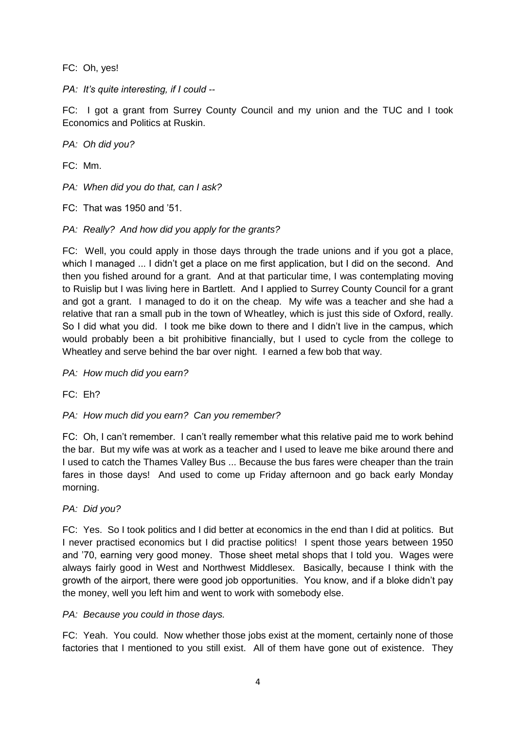FC: Oh, yes!

*PA: It's quite interesting, if I could --*

FC: I got a grant from Surrey County Council and my union and the TUC and I took Economics and Politics at Ruskin.

*PA: Oh did you?*

FC: Mm.

*PA: When did you do that, can I ask?*

- FC: That was 1950 and '51.
- *PA: Really? And how did you apply for the grants?*

FC: Well, you could apply in those days through the trade unions and if you got a place, which I managed ... I didn't get a place on me first application, but I did on the second. And then you fished around for a grant. And at that particular time, I was contemplating moving to Ruislip but I was living here in Bartlett. And I applied to Surrey County Council for a grant and got a grant. I managed to do it on the cheap. My wife was a teacher and she had a relative that ran a small pub in the town of Wheatley, which is just this side of Oxford, really. So I did what you did. I took me bike down to there and I didn't live in the campus, which would probably been a bit prohibitive financially, but I used to cycle from the college to Wheatley and serve behind the bar over night. I earned a few bob that way.

*PA: How much did you earn?*

FC: Eh?

*PA: How much did you earn? Can you remember?*

FC: Oh, I can't remember. I can't really remember what this relative paid me to work behind the bar. But my wife was at work as a teacher and I used to leave me bike around there and I used to catch the Thames Valley Bus ... Because the bus fares were cheaper than the train fares in those days! And used to come up Friday afternoon and go back early Monday morning.

### *PA: Did you?*

FC: Yes. So I took politics and I did better at economics in the end than I did at politics. But I never practised economics but I did practise politics! I spent those years between 1950 and '70, earning very good money. Those sheet metal shops that I told you. Wages were always fairly good in West and Northwest Middlesex. Basically, because I think with the growth of the airport, there were good job opportunities. You know, and if a bloke didn't pay the money, well you left him and went to work with somebody else.

### *PA: Because you could in those days.*

FC: Yeah. You could. Now whether those jobs exist at the moment, certainly none of those factories that I mentioned to you still exist. All of them have gone out of existence. They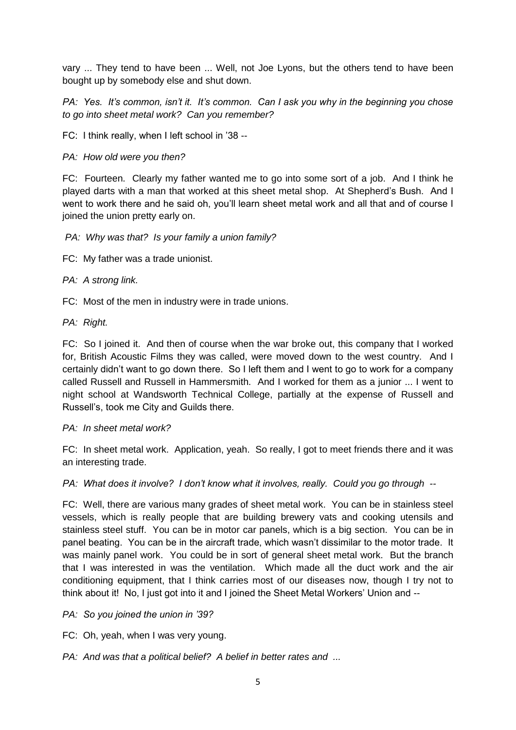vary ... They tend to have been ... Well, not Joe Lyons, but the others tend to have been bought up by somebody else and shut down.

*PA: Yes. It's common, isn't it. It's common. Can I ask you why in the beginning you chose to go into sheet metal work? Can you remember?*

FC: I think really, when I left school in '38 --

### *PA: How old were you then?*

FC: Fourteen. Clearly my father wanted me to go into some sort of a job. And I think he played darts with a man that worked at this sheet metal shop. At Shepherd's Bush. And I went to work there and he said oh, you'll learn sheet metal work and all that and of course I joined the union pretty early on.

### *PA: Why was that? Is your family a union family?*

FC: My father was a trade unionist.

### *PA: A strong link.*

FC: Most of the men in industry were in trade unions.

*PA: Right.*

FC: So I joined it. And then of course when the war broke out, this company that I worked for, British Acoustic Films they was called, were moved down to the west country. And I certainly didn't want to go down there. So I left them and I went to go to work for a company called Russell and Russell in Hammersmith. And I worked for them as a junior ... I went to night school at Wandsworth Technical College, partially at the expense of Russell and Russell's, took me City and Guilds there.

### *PA: In sheet metal work?*

FC: In sheet metal work. Application, yeah. So really, I got to meet friends there and it was an interesting trade.

*PA: What does it involve? I don't know what it involves, really. Could you go through --*

FC: Well, there are various many grades of sheet metal work. You can be in stainless steel vessels, which is really people that are building brewery vats and cooking utensils and stainless steel stuff. You can be in motor car panels, which is a big section. You can be in panel beating. You can be in the aircraft trade, which wasn't dissimilar to the motor trade. It was mainly panel work. You could be in sort of general sheet metal work. But the branch that I was interested in was the ventilation. Which made all the duct work and the air conditioning equipment, that I think carries most of our diseases now, though I try not to think about it! No, I just got into it and I joined the Sheet Metal Workers' Union and --

*PA: So you joined the union in '39?*

FC: Oh, yeah, when I was very young.

*PA: And was that a political belief? A belief in better rates and ...*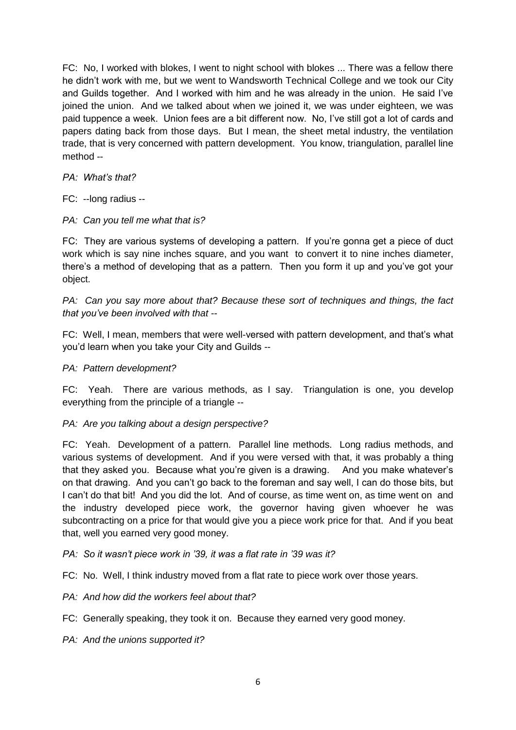FC: No, I worked with blokes, I went to night school with blokes ... There was a fellow there he didn't work with me, but we went to Wandsworth Technical College and we took our City and Guilds together. And I worked with him and he was already in the union. He said I've joined the union. And we talked about when we joined it, we was under eighteen, we was paid tuppence a week. Union fees are a bit different now. No, I've still got a lot of cards and papers dating back from those days. But I mean, the sheet metal industry, the ventilation trade, that is very concerned with pattern development. You know, triangulation, parallel line method --

*PA: What's that?*

FC: --long radius --

*PA: Can you tell me what that is?*

FC: They are various systems of developing a pattern. If you're gonna get a piece of duct work which is say nine inches square, and you want to convert it to nine inches diameter, there's a method of developing that as a pattern. Then you form it up and you've got your object.

*PA: Can you say more about that? Because these sort of techniques and things, the fact that you've been involved with that --*

FC: Well, I mean, members that were well-versed with pattern development, and that's what you'd learn when you take your City and Guilds --

### *PA: Pattern development?*

FC: Yeah. There are various methods, as I say. Triangulation is one, you develop everything from the principle of a triangle --

## *PA: Are you talking about a design perspective?*

FC: Yeah. Development of a pattern. Parallel line methods. Long radius methods, and various systems of development. And if you were versed with that, it was probably a thing that they asked you. Because what you're given is a drawing. And you make whatever's on that drawing. And you can't go back to the foreman and say well, I can do those bits, but I can't do that bit! And you did the lot. And of course, as time went on, as time went on and the industry developed piece work, the governor having given whoever he was subcontracting on a price for that would give you a piece work price for that. And if you beat that, well you earned very good money.

*PA: So it wasn't piece work in '39, it was a flat rate in '39 was it?*

FC: No. Well, I think industry moved from a flat rate to piece work over those years.

*PA: And how did the workers feel about that?*

- FC: Generally speaking, they took it on. Because they earned very good money.
- *PA: And the unions supported it?*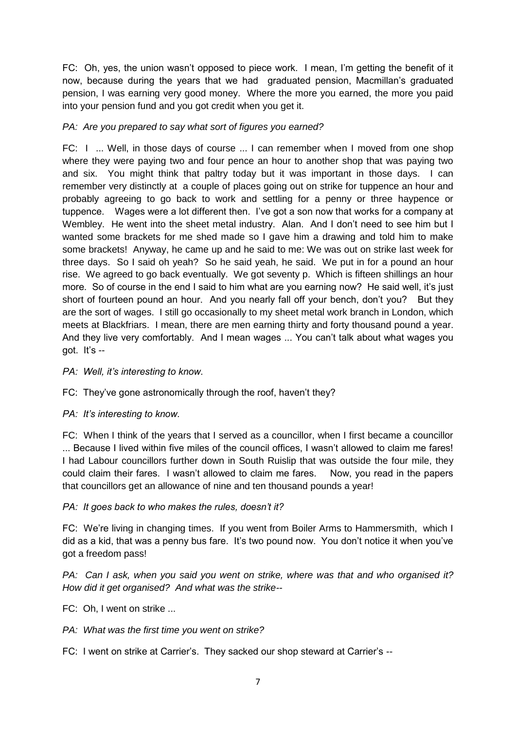FC: Oh, yes, the union wasn't opposed to piece work. I mean, I'm getting the benefit of it now, because during the years that we had graduated pension, Macmillan's graduated pension, I was earning very good money. Where the more you earned, the more you paid into your pension fund and you got credit when you get it.

### *PA: Are you prepared to say what sort of figures you earned?*

FC: I ... Well, in those days of course ... I can remember when I moved from one shop where they were paying two and four pence an hour to another shop that was paying two and six. You might think that paltry today but it was important in those days. I can remember very distinctly at a couple of places going out on strike for tuppence an hour and probably agreeing to go back to work and settling for a penny or three haypence or tuppence. Wages were a lot different then. I've got a son now that works for a company at Wembley. He went into the sheet metal industry. Alan. And I don't need to see him but I wanted some brackets for me shed made so I gave him a drawing and told him to make some brackets! Anyway, he came up and he said to me: We was out on strike last week for three days. So I said oh yeah? So he said yeah, he said. We put in for a pound an hour rise. We agreed to go back eventually. We got seventy p. Which is fifteen shillings an hour more. So of course in the end I said to him what are you earning now? He said well, it's just short of fourteen pound an hour. And you nearly fall off your bench, don't you? But they are the sort of wages. I still go occasionally to my sheet metal work branch in London, which meets at Blackfriars. I mean, there are men earning thirty and forty thousand pound a year. And they live very comfortably. And I mean wages ... You can't talk about what wages you got. It's  $-$ 

*PA: Well, it's interesting to know.*

FC: They've gone astronomically through the roof, haven't they?

*PA: It's interesting to know.*

FC: When I think of the years that I served as a councillor, when I first became a councillor ... Because I lived within five miles of the council offices, I wasn't allowed to claim me fares! I had Labour councillors further down in South Ruislip that was outside the four mile, they could claim their fares. I wasn't allowed to claim me fares. Now, you read in the papers that councillors get an allowance of nine and ten thousand pounds a year!

### *PA: It goes back to who makes the rules, doesn't it?*

FC: We're living in changing times. If you went from Boiler Arms to Hammersmith, which I did as a kid, that was a penny bus fare. It's two pound now. You don't notice it when you've got a freedom pass!

*PA: Can I ask, when you said you went on strike, where was that and who organised it? How did it get organised? And what was the strike--*

- FC: Oh, I went on strike ...
- *PA: What was the first time you went on strike?*
- FC: I went on strike at Carrier's. They sacked our shop steward at Carrier's --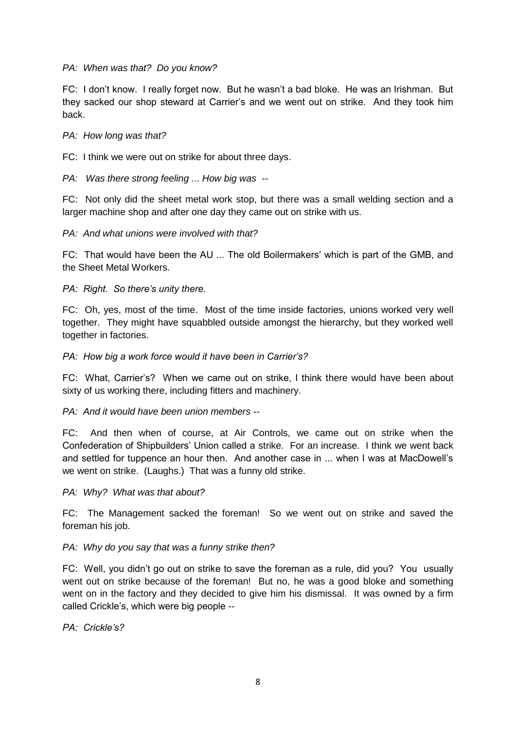### *PA: When was that? Do you know?*

FC: I don't know. I really forget now. But he wasn't a bad bloke. He was an Irishman. But they sacked our shop steward at Carrier's and we went out on strike. And they took him back.

#### *PA: How long was that?*

FC: I think we were out on strike for about three days.

*PA: Was there strong feeling ... How big was --*

FC: Not only did the sheet metal work stop, but there was a small welding section and a larger machine shop and after one day they came out on strike with us.

*PA: And what unions were involved with that?*

FC: That would have been the AU ... The old Boilermakers' which is part of the GMB, and the Sheet Metal Workers.

*PA: Right. So there's unity there.*

FC: Oh, yes, most of the time. Most of the time inside factories, unions worked very well together. They might have squabbled outside amongst the hierarchy, but they worked well together in factories.

#### *PA: How big a work force would it have been in Carrier's?*

FC: What, Carrier's? When we came out on strike, I think there would have been about sixty of us working there, including fitters and machinery.

### *PA: And it would have been union members --*

FC: And then when of course, at Air Controls, we came out on strike when the Confederation of Shipbuilders' Union called a strike. For an increase. I think we went back and settled for tuppence an hour then. And another case in ... when I was at MacDowell's we went on strike. (Laughs.) That was a funny old strike.

*PA: Why? What was that about?*

FC: The Management sacked the foreman! So we went out on strike and saved the foreman his job.

*PA: Why do you say that was a funny strike then?*

FC: Well, you didn't go out on strike to save the foreman as a rule, did you? You usually went out on strike because of the foreman! But no, he was a good bloke and something went on in the factory and they decided to give him his dismissal. It was owned by a firm called Crickle's, which were big people --

*PA: Crickle's?*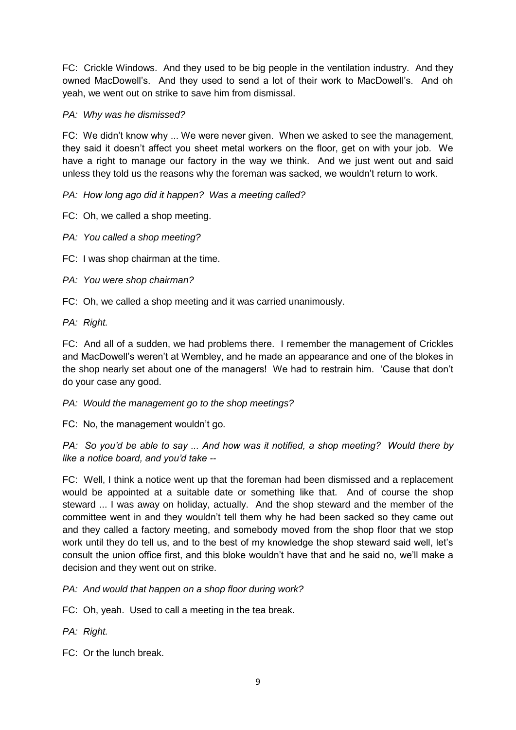FC: Crickle Windows. And they used to be big people in the ventilation industry. And they owned MacDowell's. And they used to send a lot of their work to MacDowell's. And oh yeah, we went out on strike to save him from dismissal.

### *PA: Why was he dismissed?*

FC: We didn't know why ... We were never given. When we asked to see the management, they said it doesn't affect you sheet metal workers on the floor, get on with your job. We have a right to manage our factory in the way we think. And we just went out and said unless they told us the reasons why the foreman was sacked, we wouldn't return to work.

*PA: How long ago did it happen? Was a meeting called?*

FC: Oh, we called a shop meeting.

*PA: You called a shop meeting?*

FC: I was shop chairman at the time.

*PA: You were shop chairman?*

FC: Oh, we called a shop meeting and it was carried unanimously.

*PA: Right.* 

FC: And all of a sudden, we had problems there. I remember the management of Crickles and MacDowell's weren't at Wembley, and he made an appearance and one of the blokes in the shop nearly set about one of the managers! We had to restrain him. 'Cause that don't do your case any good.

*PA: Would the management go to the shop meetings?*

FC: No, the management wouldn't go.

*PA: So you'd be able to say ... And how was it notified, a shop meeting? Would there by like a notice board, and you'd take --*

FC: Well, I think a notice went up that the foreman had been dismissed and a replacement would be appointed at a suitable date or something like that. And of course the shop steward ... I was away on holiday, actually. And the shop steward and the member of the committee went in and they wouldn't tell them why he had been sacked so they came out and they called a factory meeting, and somebody moved from the shop floor that we stop work until they do tell us, and to the best of my knowledge the shop steward said well, let's consult the union office first, and this bloke wouldn't have that and he said no, we'll make a decision and they went out on strike.

*PA: And would that happen on a shop floor during work?*

FC: Oh, yeah. Used to call a meeting in the tea break.

*PA: Right.*

FC: Or the lunch break.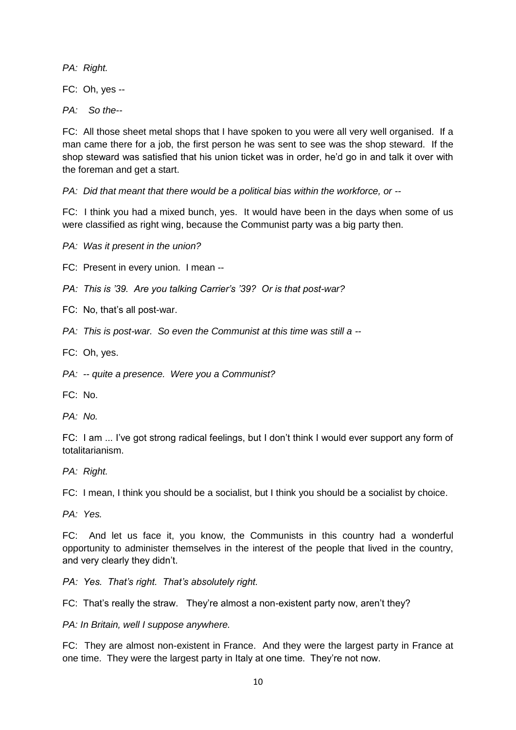*PA: Right.*

FC: Oh, yes --

*PA: So the--*

FC: All those sheet metal shops that I have spoken to you were all very well organised. If a man came there for a job, the first person he was sent to see was the shop steward. If the shop steward was satisfied that his union ticket was in order, he'd go in and talk it over with the foreman and get a start.

*PA: Did that meant that there would be a political bias within the workforce, or --*

FC: I think you had a mixed bunch, yes. It would have been in the days when some of us were classified as right wing, because the Communist party was a big party then.

*PA: Was it present in the union?*

FC: Present in every union. I mean --

*PA: This is '39. Are you talking Carrier's '39? Or is that post-war?*

FC: No, that's all post-war.

*PA: This is post-war. So even the Communist at this time was still a --*

FC: Oh, yes.

*PA: -- quite a presence. Were you a Communist?*

FC: No.

*PA: No.*

FC: I am ... I've got strong radical feelings, but I don't think I would ever support any form of totalitarianism.

*PA: Right.*

FC: I mean, I think you should be a socialist, but I think you should be a socialist by choice.

*PA: Yes.*

FC: And let us face it, you know, the Communists in this country had a wonderful opportunity to administer themselves in the interest of the people that lived in the country, and very clearly they didn't.

*PA: Yes. That's right. That's absolutely right.*

FC: That's really the straw. They're almost a non-existent party now, aren't they?

*PA: In Britain, well I suppose anywhere.*

FC: They are almost non-existent in France. And they were the largest party in France at one time. They were the largest party in Italy at one time. They're not now.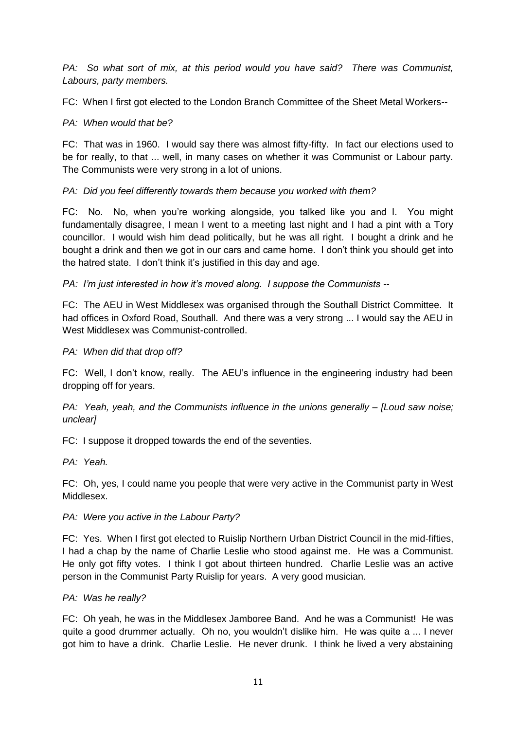*PA: So what sort of mix, at this period would you have said? There was Communist, Labours, party members.*

FC: When I first got elected to the London Branch Committee of the Sheet Metal Workers--

## *PA: When would that be?*

FC: That was in 1960. I would say there was almost fifty-fifty. In fact our elections used to be for really, to that ... well, in many cases on whether it was Communist or Labour party. The Communists were very strong in a lot of unions.

# *PA: Did you feel differently towards them because you worked with them?*

FC: No. No, when you're working alongside, you talked like you and I. You might fundamentally disagree, I mean I went to a meeting last night and I had a pint with a Tory councillor. I would wish him dead politically, but he was all right. I bought a drink and he bought a drink and then we got in our cars and came home. I don't think you should get into the hatred state. I don't think it's justified in this day and age.

*PA: I'm just interested in how it's moved along. I suppose the Communists --*

FC: The AEU in West Middlesex was organised through the Southall District Committee. It had offices in Oxford Road, Southall. And there was a very strong ... I would say the AEU in West Middlesex was Communist-controlled.

## *PA: When did that drop off?*

FC: Well, I don't know, really. The AEU's influence in the engineering industry had been dropping off for years.

*PA: Yeah, yeah, and the Communists influence in the unions generally – [Loud saw noise; unclear]*

FC: I suppose it dropped towards the end of the seventies.

*PA: Yeah.*

FC: Oh, yes, I could name you people that were very active in the Communist party in West Middlesex.

## *PA: Were you active in the Labour Party?*

FC: Yes. When I first got elected to Ruislip Northern Urban District Council in the mid-fifties, I had a chap by the name of Charlie Leslie who stood against me. He was a Communist. He only got fifty votes. I think I got about thirteen hundred. Charlie Leslie was an active person in the Communist Party Ruislip for years. A very good musician.

## *PA: Was he really?*

FC: Oh yeah, he was in the Middlesex Jamboree Band. And he was a Communist! He was quite a good drummer actually. Oh no, you wouldn't dislike him. He was quite a ... I never got him to have a drink. Charlie Leslie. He never drunk. I think he lived a very abstaining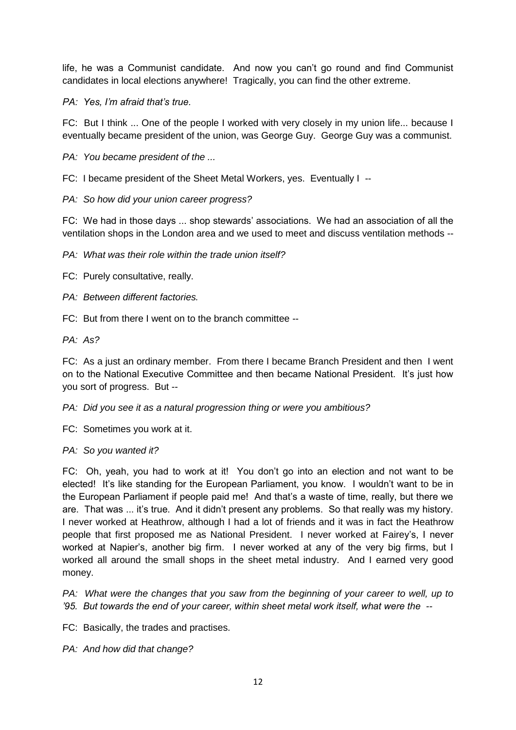life, he was a Communist candidate. And now you can't go round and find Communist candidates in local elections anywhere! Tragically, you can find the other extreme.

*PA: Yes, I'm afraid that's true.*

FC: But I think ... One of the people I worked with very closely in my union life... because I eventually became president of the union, was George Guy. George Guy was a communist.

*PA: You became president of the ...*

FC: I became president of the Sheet Metal Workers, yes. Eventually I --

*PA: So how did your union career progress?*

FC: We had in those days ... shop stewards' associations. We had an association of all the ventilation shops in the London area and we used to meet and discuss ventilation methods --

*PA: What was their role within the trade union itself?*

FC: Purely consultative, really.

*PA: Between different factories.*

FC: But from there I went on to the branch committee --

*PA: As?*

FC: As a just an ordinary member. From there I became Branch President and then I went on to the National Executive Committee and then became National President. It's just how you sort of progress. But --

*PA: Did you see it as a natural progression thing or were you ambitious?*

FC: Sometimes you work at it.

*PA: So you wanted it?*

FC: Oh, yeah, you had to work at it! You don't go into an election and not want to be elected! It's like standing for the European Parliament, you know. I wouldn't want to be in the European Parliament if people paid me! And that's a waste of time, really, but there we are. That was ... it's true. And it didn't present any problems. So that really was my history. I never worked at Heathrow, although I had a lot of friends and it was in fact the Heathrow people that first proposed me as National President. I never worked at Fairey's, I never worked at Napier's, another big firm. I never worked at any of the very big firms, but I worked all around the small shops in the sheet metal industry. And I earned very good money.

*PA:* What were the changes that you saw from the beginning of your career to well, up to *'95. But towards the end of your career, within sheet metal work itself, what were the --*

FC: Basically, the trades and practises.

*PA: And how did that change?*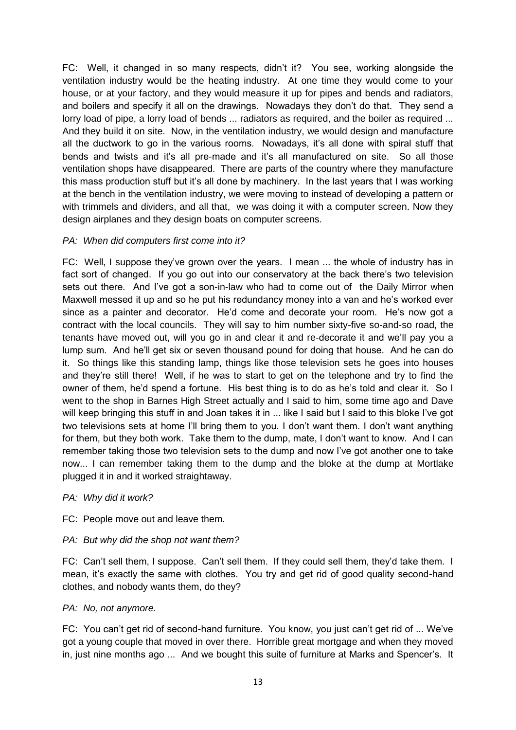FC: Well, it changed in so many respects, didn't it? You see, working alongside the ventilation industry would be the heating industry. At one time they would come to your house, or at your factory, and they would measure it up for pipes and bends and radiators, and boilers and specify it all on the drawings. Nowadays they don't do that. They send a lorry load of pipe, a lorry load of bends ... radiators as required, and the boiler as required ... And they build it on site. Now, in the ventilation industry, we would design and manufacture all the ductwork to go in the various rooms. Nowadays, it's all done with spiral stuff that bends and twists and it's all pre-made and it's all manufactured on site. So all those ventilation shops have disappeared. There are parts of the country where they manufacture this mass production stuff but it's all done by machinery. In the last years that I was working at the bench in the ventilation industry, we were moving to instead of developing a pattern or with trimmels and dividers, and all that, we was doing it with a computer screen. Now they design airplanes and they design boats on computer screens.

### *PA: When did computers first come into it?*

FC: Well, I suppose they've grown over the years. I mean ... the whole of industry has in fact sort of changed. If you go out into our conservatory at the back there's two television sets out there. And I've got a son-in-law who had to come out of the Daily Mirror when Maxwell messed it up and so he put his redundancy money into a van and he's worked ever since as a painter and decorator. He'd come and decorate your room. He's now got a contract with the local councils. They will say to him number sixty-five so-and-so road, the tenants have moved out, will you go in and clear it and re-decorate it and we'll pay you a lump sum. And he'll get six or seven thousand pound for doing that house. And he can do it. So things like this standing lamp, things like those television sets he goes into houses and they're still there! Well, if he was to start to get on the telephone and try to find the owner of them, he'd spend a fortune. His best thing is to do as he's told and clear it. So I went to the shop in Barnes High Street actually and I said to him, some time ago and Dave will keep bringing this stuff in and Joan takes it in ... like I said but I said to this bloke I've got two televisions sets at home I'll bring them to you. I don't want them. I don't want anything for them, but they both work. Take them to the dump, mate, I don't want to know. And I can remember taking those two television sets to the dump and now I've got another one to take now... I can remember taking them to the dump and the bloke at the dump at Mortlake plugged it in and it worked straightaway.

### *PA: Why did it work?*

FC: People move out and leave them.

## *PA: But why did the shop not want them?*

FC: Can't sell them, I suppose. Can't sell them. If they could sell them, they'd take them. I mean, it's exactly the same with clothes. You try and get rid of good quality second-hand clothes, and nobody wants them, do they?

### *PA: No, not anymore.*

FC: You can't get rid of second-hand furniture. You know, you just can't get rid of ... We've got a young couple that moved in over there. Horrible great mortgage and when they moved in, just nine months ago ... And we bought this suite of furniture at Marks and Spencer's. It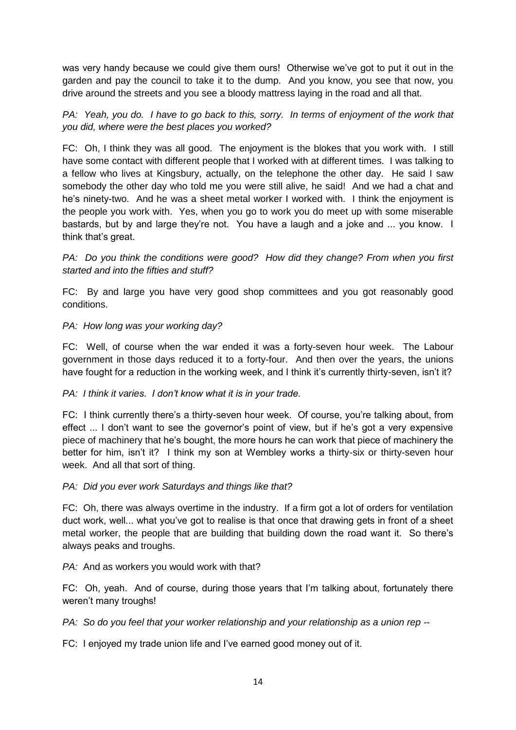was very handy because we could give them ours! Otherwise we've got to put it out in the garden and pay the council to take it to the dump. And you know, you see that now, you drive around the streets and you see a bloody mattress laying in the road and all that.

*PA:* Yeah, you do. I have to go back to this, sorry. In terms of enjoyment of the work that *you did, where were the best places you worked?*

FC: Oh, I think they was all good. The enjoyment is the blokes that you work with. I still have some contact with different people that I worked with at different times. I was talking to a fellow who lives at Kingsbury, actually, on the telephone the other day. He said I saw somebody the other day who told me you were still alive, he said! And we had a chat and he's ninety-two. And he was a sheet metal worker I worked with. I think the enjoyment is the people you work with. Yes, when you go to work you do meet up with some miserable bastards, but by and large they're not. You have a laugh and a joke and ... you know. I think that's great.

*PA:* Do you think the conditions were good? How did they change? From when you first *started and into the fifties and stuff?*

FC: By and large you have very good shop committees and you got reasonably good conditions.

### *PA: How long was your working day?*

FC: Well, of course when the war ended it was a forty-seven hour week. The Labour government in those days reduced it to a forty-four. And then over the years, the unions have fought for a reduction in the working week, and I think it's currently thirty-seven, isn't it?

### *PA: I think it varies. I don't know what it is in your trade.*

FC: I think currently there's a thirty-seven hour week. Of course, you're talking about, from effect ... I don't want to see the governor's point of view, but if he's got a very expensive piece of machinery that he's bought, the more hours he can work that piece of machinery the better for him, isn't it? I think my son at Wembley works a thirty-six or thirty-seven hour week. And all that sort of thing.

### *PA: Did you ever work Saturdays and things like that?*

FC: Oh, there was always overtime in the industry. If a firm got a lot of orders for ventilation duct work, well... what you've got to realise is that once that drawing gets in front of a sheet metal worker, the people that are building that building down the road want it. So there's always peaks and troughs.

*PA:* And as workers you would work with that?

FC: Oh, yeah. And of course, during those years that I'm talking about, fortunately there weren't many troughs!

*PA: So do you feel that your worker relationship and your relationship as a union rep --*

FC: I enjoyed my trade union life and I've earned good money out of it.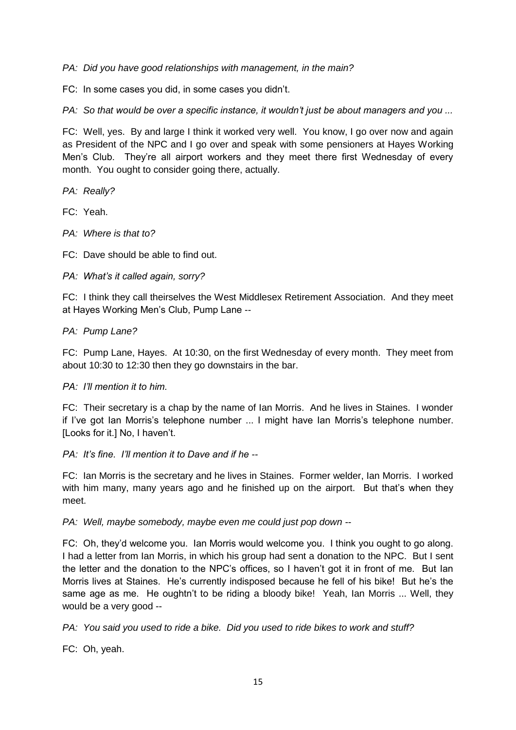*PA: Did you have good relationships with management, in the main?*

FC: In some cases you did, in some cases you didn't.

*PA: So that would be over a specific instance, it wouldn't just be about managers and you ...*

FC: Well, yes. By and large I think it worked very well. You know, I go over now and again as President of the NPC and I go over and speak with some pensioners at Hayes Working Men's Club. They're all airport workers and they meet there first Wednesday of every month. You ought to consider going there, actually.

*PA: Really?*

FC: Yeah.

*PA: Where is that to?*

FC: Dave should be able to find out.

### *PA: What's it called again, sorry?*

FC: I think they call theirselves the West Middlesex Retirement Association. And they meet at Hayes Working Men's Club, Pump Lane --

### *PA: Pump Lane?*

FC: Pump Lane, Hayes. At 10:30, on the first Wednesday of every month. They meet from about 10:30 to 12:30 then they go downstairs in the bar.

### *PA: I'll mention it to him.*

FC: Their secretary is a chap by the name of Ian Morris. And he lives in Staines. I wonder if I've got Ian Morris's telephone number ... I might have Ian Morris's telephone number. [Looks for it.] No, I haven't.

### *PA: It's fine. I'll mention it to Dave and if he --*

FC: Ian Morris is the secretary and he lives in Staines. Former welder, Ian Morris. I worked with him many, many years ago and he finished up on the airport. But that's when they meet.

*PA: Well, maybe somebody, maybe even me could just pop down --*

FC: Oh, they'd welcome you. Ian Morris would welcome you. I think you ought to go along. I had a letter from Ian Morris, in which his group had sent a donation to the NPC. But I sent the letter and the donation to the NPC's offices, so I haven't got it in front of me. But Ian Morris lives at Staines. He's currently indisposed because he fell of his bike! But he's the same age as me. He oughtn't to be riding a bloody bike! Yeah, Ian Morris ... Well, they would be a very good --

*PA: You said you used to ride a bike. Did you used to ride bikes to work and stuff?*

FC: Oh, yeah.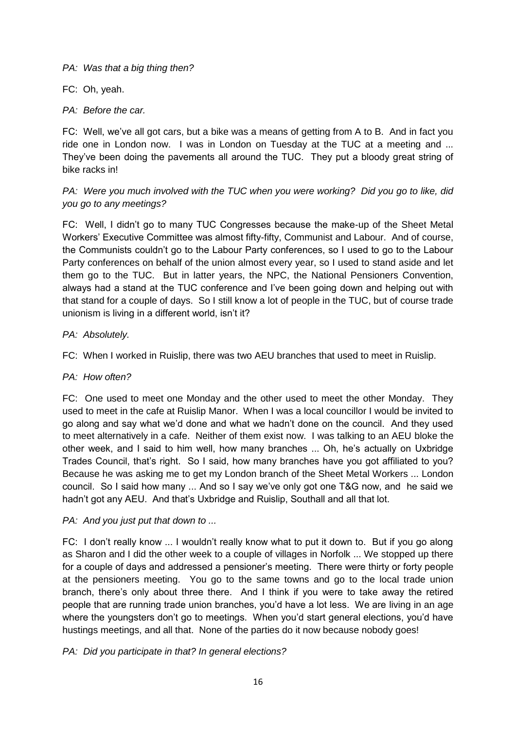*PA: Was that a big thing then?*

FC: Oh, yeah.

*PA: Before the car.*

FC: Well, we've all got cars, but a bike was a means of getting from A to B. And in fact you ride one in London now. I was in London on Tuesday at the TUC at a meeting and ... They've been doing the pavements all around the TUC. They put a bloody great string of bike racks in!

# *PA: Were you much involved with the TUC when you were working? Did you go to like, did you go to any meetings?*

FC: Well, I didn't go to many TUC Congresses because the make-up of the Sheet Metal Workers' Executive Committee was almost fifty-fifty, Communist and Labour. And of course, the Communists couldn't go to the Labour Party conferences, so I used to go to the Labour Party conferences on behalf of the union almost every year, so I used to stand aside and let them go to the TUC. But in latter years, the NPC, the National Pensioners Convention, always had a stand at the TUC conference and I've been going down and helping out with that stand for a couple of days. So I still know a lot of people in the TUC, but of course trade unionism is living in a different world, isn't it?

## *PA: Absolutely.*

FC: When I worked in Ruislip, there was two AEU branches that used to meet in Ruislip.

## *PA: How often?*

FC: One used to meet one Monday and the other used to meet the other Monday. They used to meet in the cafe at Ruislip Manor. When I was a local councillor I would be invited to go along and say what we'd done and what we hadn't done on the council. And they used to meet alternatively in a cafe. Neither of them exist now. I was talking to an AEU bloke the other week, and I said to him well, how many branches ... Oh, he's actually on Uxbridge Trades Council, that's right. So I said, how many branches have you got affiliated to you? Because he was asking me to get my London branch of the Sheet Metal Workers ... London council. So I said how many ... And so I say we've only got one T&G now, and he said we hadn't got any AEU. And that's Uxbridge and Ruislip, Southall and all that lot.

## *PA: And you just put that down to ...*

FC: I don't really know ... I wouldn't really know what to put it down to. But if you go along as Sharon and I did the other week to a couple of villages in Norfolk ... We stopped up there for a couple of days and addressed a pensioner's meeting. There were thirty or forty people at the pensioners meeting. You go to the same towns and go to the local trade union branch, there's only about three there. And I think if you were to take away the retired people that are running trade union branches, you'd have a lot less. We are living in an age where the youngsters don't go to meetings. When you'd start general elections, you'd have hustings meetings, and all that. None of the parties do it now because nobody goes!

## *PA: Did you participate in that? In general elections?*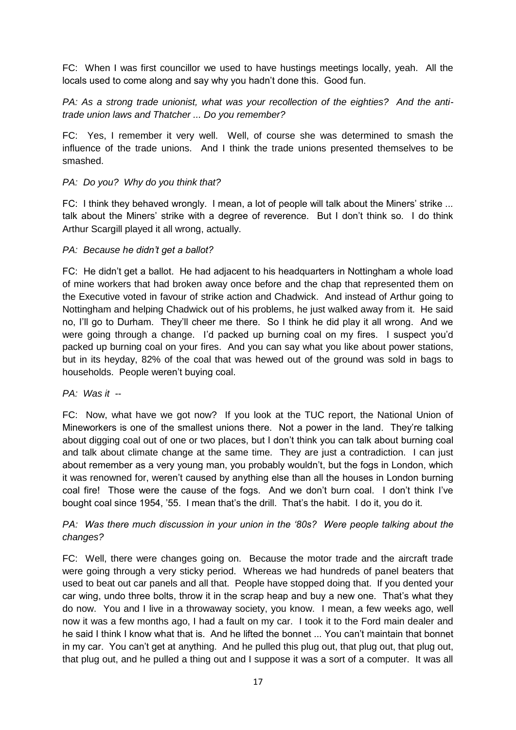FC: When I was first councillor we used to have hustings meetings locally, yeah. All the locals used to come along and say why you hadn't done this. Good fun.

*PA: As a strong trade unionist, what was your recollection of the eighties? And the antitrade union laws and Thatcher ... Do you remember?*

FC: Yes, I remember it very well. Well, of course she was determined to smash the influence of the trade unions. And I think the trade unions presented themselves to be smashed.

### *PA: Do you? Why do you think that?*

FC: I think they behaved wrongly. I mean, a lot of people will talk about the Miners' strike ... talk about the Miners' strike with a degree of reverence. But I don't think so. I do think Arthur Scargill played it all wrong, actually.

### *PA: Because he didn't get a ballot?*

FC: He didn't get a ballot. He had adjacent to his headquarters in Nottingham a whole load of mine workers that had broken away once before and the chap that represented them on the Executive voted in favour of strike action and Chadwick. And instead of Arthur going to Nottingham and helping Chadwick out of his problems, he just walked away from it. He said no, I'll go to Durham. They'll cheer me there. So I think he did play it all wrong. And we were going through a change. I'd packed up burning coal on my fires. I suspect you'd packed up burning coal on your fires. And you can say what you like about power stations, but in its heyday, 82% of the coal that was hewed out of the ground was sold in bags to households. People weren't buying coal.

### *PA: Was it --*

FC: Now, what have we got now? If you look at the TUC report, the National Union of Mineworkers is one of the smallest unions there. Not a power in the land. They're talking about digging coal out of one or two places, but I don't think you can talk about burning coal and talk about climate change at the same time. They are just a contradiction. I can just about remember as a very young man, you probably wouldn't, but the fogs in London, which it was renowned for, weren't caused by anything else than all the houses in London burning coal fire! Those were the cause of the fogs. And we don't burn coal. I don't think I've bought coal since 1954, '55. I mean that's the drill. That's the habit. I do it, you do it.

## *PA:* Was there much discussion in your union in the '80s? Were people talking about the *changes?*

FC: Well, there were changes going on. Because the motor trade and the aircraft trade were going through a very sticky period. Whereas we had hundreds of panel beaters that used to beat out car panels and all that. People have stopped doing that. If you dented your car wing, undo three bolts, throw it in the scrap heap and buy a new one. That's what they do now. You and I live in a throwaway society, you know. I mean, a few weeks ago, well now it was a few months ago, I had a fault on my car. I took it to the Ford main dealer and he said I think I know what that is. And he lifted the bonnet ... You can't maintain that bonnet in my car. You can't get at anything. And he pulled this plug out, that plug out, that plug out, that plug out, and he pulled a thing out and I suppose it was a sort of a computer. It was all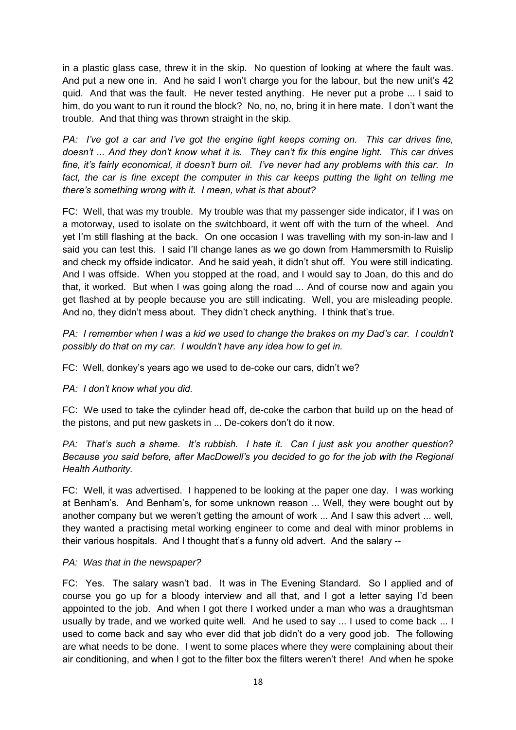in a plastic glass case, threw it in the skip. No question of looking at where the fault was. And put a new one in. And he said I won't charge you for the labour, but the new unit's 42 quid. And that was the fault. He never tested anything. He never put a probe ... I said to him, do you want to run it round the block? No, no, no, bring it in here mate. I don't want the trouble. And that thing was thrown straight in the skip.

*PA: I've got a car and I've got the engine light keeps coming on. This car drives fine, doesn't ... And they don't know what it is. They can't fix this engine light. This car drives fine, it's fairly economical, it doesn't burn oil. I've never had any problems with this car. In*  fact, the car is fine except the computer in this car keeps putting the light on telling me *there's something wrong with it. I mean, what is that about?*

FC: Well, that was my trouble. My trouble was that my passenger side indicator, if I was on a motorway, used to isolate on the switchboard, it went off with the turn of the wheel. And yet I'm still flashing at the back. On one occasion I was travelling with my son-in-law and I said you can test this. I said I'll change lanes as we go down from Hammersmith to Ruislip and check my offside indicator. And he said yeah, it didn't shut off. You were still indicating. And I was offside. When you stopped at the road, and I would say to Joan, do this and do that, it worked. But when I was going along the road ... And of course now and again you get flashed at by people because you are still indicating. Well, you are misleading people. And no, they didn't mess about. They didn't check anything. I think that's true.

*PA: I remember when I was a kid we used to change the brakes on my Dad's car. I couldn't possibly do that on my car. I wouldn't have any idea how to get in.*

FC: Well, donkey's years ago we used to de-coke our cars, didn't we?

*PA: I don't know what you did.*

FC: We used to take the cylinder head off, de-coke the carbon that build up on the head of the pistons, and put new gaskets in ... De-cokers don't do it now.

*PA: That's such a shame. It's rubbish. I hate it. Can I just ask you another question? Because you said before, after MacDowell's you decided to go for the job with the Regional Health Authority.*

FC: Well, it was advertised. I happened to be looking at the paper one day. I was working at Benham's. And Benham's, for some unknown reason ... Well, they were bought out by another company but we weren't getting the amount of work ... And I saw this advert ... well, they wanted a practising metal working engineer to come and deal with minor problems in their various hospitals. And I thought that's a funny old advert. And the salary --

### *PA: Was that in the newspaper?*

FC: Yes. The salary wasn't bad. It was in The Evening Standard. So I applied and of course you go up for a bloody interview and all that, and I got a letter saying I'd been appointed to the job. And when I got there I worked under a man who was a draughtsman usually by trade, and we worked quite well. And he used to say ... I used to come back ... I used to come back and say who ever did that job didn't do a very good job. The following are what needs to be done. I went to some places where they were complaining about their air conditioning, and when I got to the filter box the filters weren't there! And when he spoke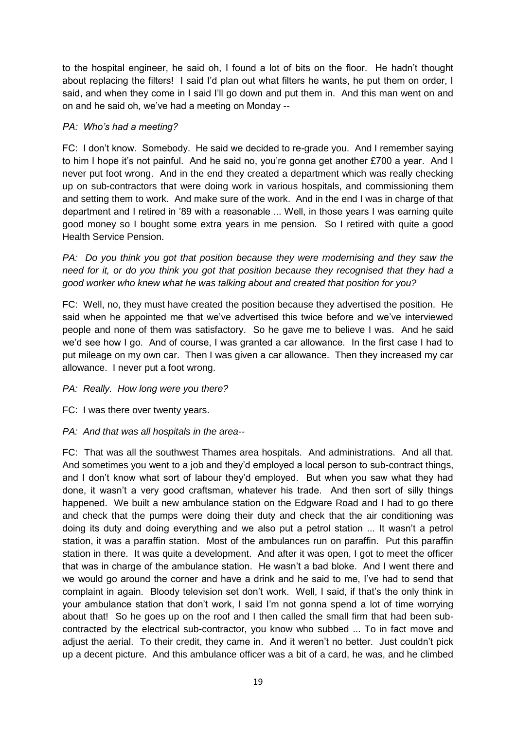to the hospital engineer, he said oh, I found a lot of bits on the floor. He hadn't thought about replacing the filters! I said I'd plan out what filters he wants, he put them on order, I said, and when they come in I said I'll go down and put them in. And this man went on and on and he said oh, we've had a meeting on Monday --

### *PA: Who's had a meeting?*

FC: I don't know. Somebody. He said we decided to re-grade you. And I remember saying to him I hope it's not painful. And he said no, you're gonna get another £700 a year. And I never put foot wrong. And in the end they created a department which was really checking up on sub-contractors that were doing work in various hospitals, and commissioning them and setting them to work. And make sure of the work. And in the end I was in charge of that department and I retired in '89 with a reasonable ... Well, in those years I was earning quite good money so I bought some extra years in me pension. So I retired with quite a good Health Service Pension.

*PA: Do you think you got that position because they were modernising and they saw the need for it, or do you think you got that position because they recognised that they had a good worker who knew what he was talking about and created that position for you?*

FC: Well, no, they must have created the position because they advertised the position. He said when he appointed me that we've advertised this twice before and we've interviewed people and none of them was satisfactory. So he gave me to believe I was. And he said we'd see how I go. And of course, I was granted a car allowance. In the first case I had to put mileage on my own car. Then I was given a car allowance. Then they increased my car allowance. I never put a foot wrong.

### *PA: Really. How long were you there?*

FC: I was there over twenty years.

## *PA: And that was all hospitals in the area--*

FC: That was all the southwest Thames area hospitals. And administrations. And all that. And sometimes you went to a job and they'd employed a local person to sub-contract things, and I don't know what sort of labour they'd employed. But when you saw what they had done, it wasn't a very good craftsman, whatever his trade. And then sort of silly things happened. We built a new ambulance station on the Edgware Road and I had to go there and check that the pumps were doing their duty and check that the air conditioning was doing its duty and doing everything and we also put a petrol station ... It wasn't a petrol station, it was a paraffin station. Most of the ambulances run on paraffin. Put this paraffin station in there. It was quite a development. And after it was open, I got to meet the officer that was in charge of the ambulance station. He wasn't a bad bloke. And I went there and we would go around the corner and have a drink and he said to me, I've had to send that complaint in again. Bloody television set don't work. Well, I said, if that's the only think in your ambulance station that don't work, I said I'm not gonna spend a lot of time worrying about that! So he goes up on the roof and I then called the small firm that had been subcontracted by the electrical sub-contractor, you know who subbed ... To in fact move and adjust the aerial. To their credit, they came in. And it weren't no better. Just couldn't pick up a decent picture. And this ambulance officer was a bit of a card, he was, and he climbed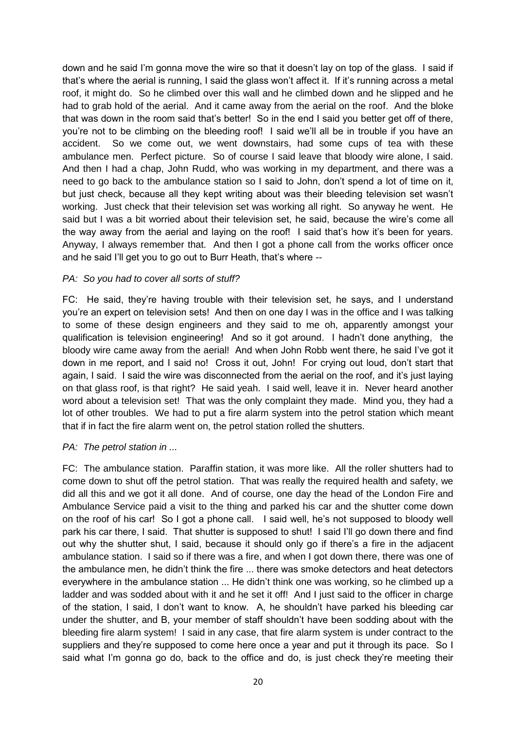down and he said I'm gonna move the wire so that it doesn't lay on top of the glass. I said if that's where the aerial is running, I said the glass won't affect it. If it's running across a metal roof, it might do. So he climbed over this wall and he climbed down and he slipped and he had to grab hold of the aerial. And it came away from the aerial on the roof. And the bloke that was down in the room said that's better! So in the end I said you better get off of there, you're not to be climbing on the bleeding roof! I said we'll all be in trouble if you have an accident. So we come out, we went downstairs, had some cups of tea with these ambulance men. Perfect picture. So of course I said leave that bloody wire alone, I said. And then I had a chap, John Rudd, who was working in my department, and there was a need to go back to the ambulance station so I said to John, don't spend a lot of time on it, but just check, because all they kept writing about was their bleeding television set wasn't working. Just check that their television set was working all right. So anyway he went. He said but I was a bit worried about their television set, he said, because the wire's come all the way away from the aerial and laying on the roof! I said that's how it's been for years. Anyway, I always remember that. And then I got a phone call from the works officer once and he said I'll get you to go out to Burr Heath, that's where --

### *PA: So you had to cover all sorts of stuff?*

FC: He said, they're having trouble with their television set, he says, and I understand you're an expert on television sets! And then on one day I was in the office and I was talking to some of these design engineers and they said to me oh, apparently amongst your qualification is television engineering! And so it got around. I hadn't done anything, the bloody wire came away from the aerial! And when John Robb went there, he said I've got it down in me report, and I said no! Cross it out, John! For crying out loud, don't start that again, I said. I said the wire was disconnected from the aerial on the roof, and it's just laying on that glass roof, is that right? He said yeah. I said well, leave it in. Never heard another word about a television set! That was the only complaint they made. Mind you, they had a lot of other troubles. We had to put a fire alarm system into the petrol station which meant that if in fact the fire alarm went on, the petrol station rolled the shutters.

### *PA: The petrol station in ...*

FC: The ambulance station. Paraffin station, it was more like. All the roller shutters had to come down to shut off the petrol station. That was really the required health and safety, we did all this and we got it all done. And of course, one day the head of the London Fire and Ambulance Service paid a visit to the thing and parked his car and the shutter come down on the roof of his car! So I got a phone call. I said well, he's not supposed to bloody well park his car there, I said. That shutter is supposed to shut! I said I'll go down there and find out why the shutter shut, I said, because it should only go if there's a fire in the adjacent ambulance station. I said so if there was a fire, and when I got down there, there was one of the ambulance men, he didn't think the fire ... there was smoke detectors and heat detectors everywhere in the ambulance station ... He didn't think one was working, so he climbed up a ladder and was sodded about with it and he set it off! And I just said to the officer in charge of the station, I said, I don't want to know. A, he shouldn't have parked his bleeding car under the shutter, and B, your member of staff shouldn't have been sodding about with the bleeding fire alarm system! I said in any case, that fire alarm system is under contract to the suppliers and they're supposed to come here once a year and put it through its pace. So I said what I'm gonna go do, back to the office and do, is just check they're meeting their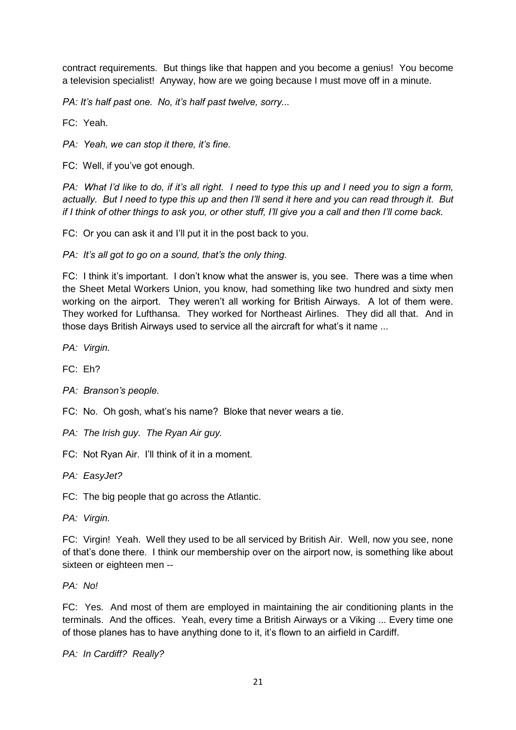contract requirements. But things like that happen and you become a genius! You become a television specialist! Anyway, how are we going because I must move off in a minute.

*PA: It's half past one. No, it's half past twelve, sorry...*

FC: Yeah.

*PA: Yeah, we can stop it there, it's fine.*

FC: Well, if you've got enough.

*PA: What I'd like to do, if it's all right. I need to type this up and I need you to sign a form, actually. But I need to type this up and then I'll send it here and you can read through it. But if I think of other things to ask you, or other stuff, I'll give you a call and then I'll come back.*

FC: Or you can ask it and I'll put it in the post back to you.

*PA: It's all got to go on a sound, that's the only thing.*

FC: I think it's important. I don't know what the answer is, you see. There was a time when the Sheet Metal Workers Union, you know, had something like two hundred and sixty men working on the airport. They weren't all working for British Airways. A lot of them were. They worked for Lufthansa. They worked for Northeast Airlines. They did all that. And in those days British Airways used to service all the aircraft for what's it name ...

*PA: Virgin.*

FC: Eh?

- *PA: Branson's people.*
- FC: No. Oh gosh, what's his name? Bloke that never wears a tie.
- *PA: The Irish guy. The Ryan Air guy.*

FC: Not Ryan Air. I'll think of it in a moment.

*PA: EasyJet?*

FC: The big people that go across the Atlantic.

*PA: Virgin.*

FC: Virgin! Yeah. Well they used to be all serviced by British Air. Well, now you see, none of that's done there. I think our membership over on the airport now, is something like about sixteen or eighteen men --

*PA: No!*

FC: Yes. And most of them are employed in maintaining the air conditioning plants in the terminals. And the offices. Yeah, every time a British Airways or a Viking ... Every time one of those planes has to have anything done to it, it's flown to an airfield in Cardiff.

*PA: In Cardiff? Really?*